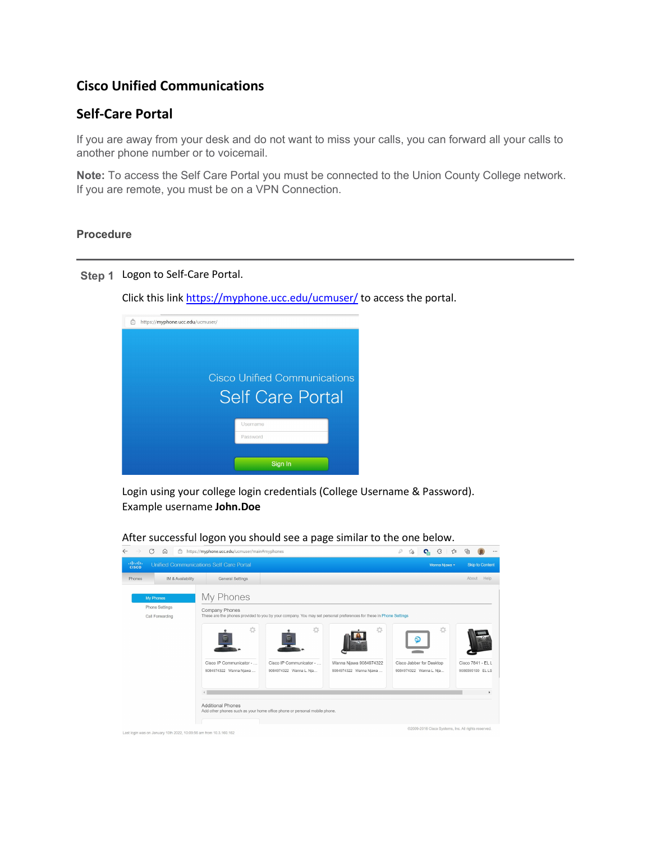## **Cisco Unified Communications**

## **Self-Care Portal**

If you are away from your desk and do not want to miss your calls, you can forward all your calls to another phone number or to voicemail.

**Note:** To access the Self Care Portal you must be connected to the Union County College network. If you are remote, you must be on a VPN Connection.

## **Procedure**

## **Step 1** Logon to Self-Care Portal.

Click this link<https://myphone.ucc.edu/ucmuser/> to access the portal.



Login using your college login credentials (College Username & Password). Example username **John.Doe**

 $\leftarrow$   $\rightarrow$   $\mathbb{C}$   $\widehat{\omega}$   $\widehat{\Box}$  https://myphone.ucc.edu/ucmuser/main#myphones ababa Unified Communications Self Care Portal IM & Availability General Settings My Phones Phone Settings Company Phones led to you by your company. You may set personal preferences for these in Phone Settings Call Forwarding 六  $\odot$ Cisco IP Communicator - . Cisco IP Communicator - . Wanna Njawa 9084974322 Cisco Jabber for Desktop Cisco 7841 - EL L 9084974322 Wanna Njawa 9084974322 Wanna L. Nja.. 9084974322 Wanna Njawa . 9084974322 Wanna L. Nja. 9086595100 ELLS  $\rightarrow$ Additional Phones<br>Add other phones such as your home office phone or personal mobile phone .<br>109-2016 Cisco Systems, Inc. All rights r Last login was on January 10th 2022, 10:09:56 am from 10.3.160.162

After successful logon you should see a page similar to the one below.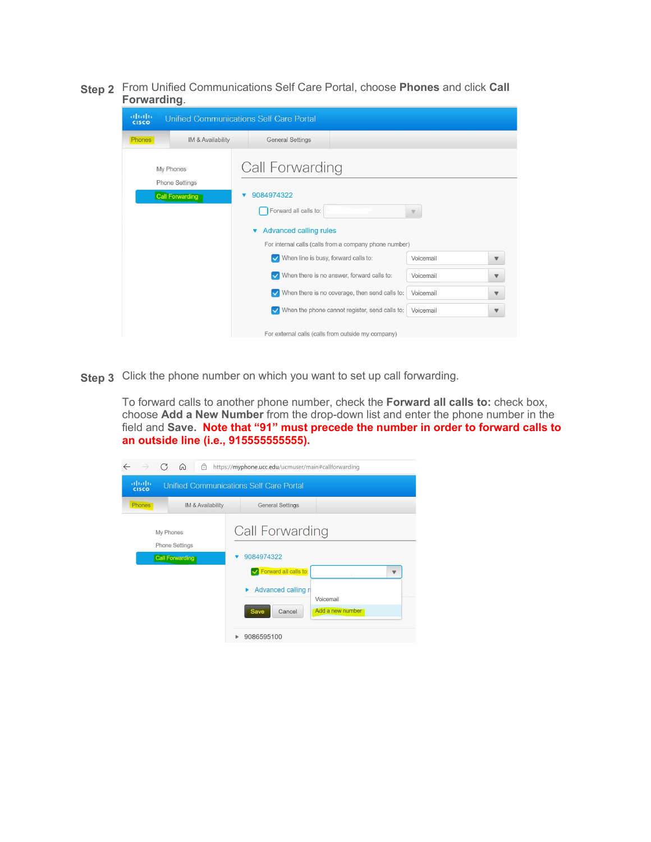**Step 2** From Unified Communications Self Care Portal, choose **Phones** and click **Call Forwarding**.

| altalo<br>cisco<br>Unified Communications Self Care Portal   |                   |                                                                                                                                                                                   |                                                    |           |                           |  |  |
|--------------------------------------------------------------|-------------------|-----------------------------------------------------------------------------------------------------------------------------------------------------------------------------------|----------------------------------------------------|-----------|---------------------------|--|--|
| Phones                                                       | IM & Availability | <b>General Settings</b>                                                                                                                                                           |                                                    |           |                           |  |  |
| My Phones<br><b>Phone Settings</b><br><b>Call Forwarding</b> |                   | Call Forwarding<br>9084974322<br>Forward all calls to:<br>$\boldsymbol{\triangledown}$<br><b>Advanced calling rules</b><br>For internal calls (calls from a company phone number) |                                                    |           |                           |  |  |
|                                                              |                   | When line is busy, forward calls to:                                                                                                                                              |                                                    | Voicemail | $\boldsymbol{\nabla}$     |  |  |
|                                                              |                   |                                                                                                                                                                                   | When there is no answer, forward calls to:         | Voicemail | $\boldsymbol{\nabla}$     |  |  |
|                                                              |                   |                                                                                                                                                                                   | When there is no coverage, then send calls to:     | Voicemail | $\boldsymbol{\mathrm{v}}$ |  |  |
|                                                              |                   |                                                                                                                                                                                   | When the phone cannot register, send calls to:     | Voicemail | $\boldsymbol{\mathrm{v}}$ |  |  |
|                                                              |                   |                                                                                                                                                                                   | For external calls (calls from outside my company) |           |                           |  |  |

**Step 3** Click the phone number on which you want to set up call forwarding.

To forward calls to another phone number, check the **Forward all calls to:** check box, choose **Add a New Number** from the drop-down list and enter the phone number in the field and **Save. Note that "91" must precede the number in order to forward calls to an outside line (i.e., 915555555555).**